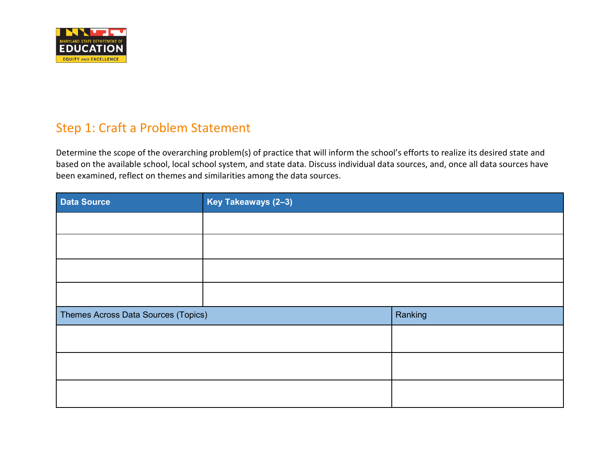

# Step 1: Craft a Problem Statement

Determine the scope of the overarching problem(s) of practice that will inform the school's efforts to realize its desired state and based on the available school, local school system, and state data. Discuss individual data sources, and, once all data sources have been examined, reflect on themes and similarities among the data sources.

| Data Source                         | Key Takeaways (2-3) |         |
|-------------------------------------|---------------------|---------|
|                                     |                     |         |
|                                     |                     |         |
|                                     |                     |         |
|                                     |                     |         |
| Themes Across Data Sources (Topics) |                     | Ranking |
|                                     |                     |         |
|                                     |                     |         |
|                                     |                     |         |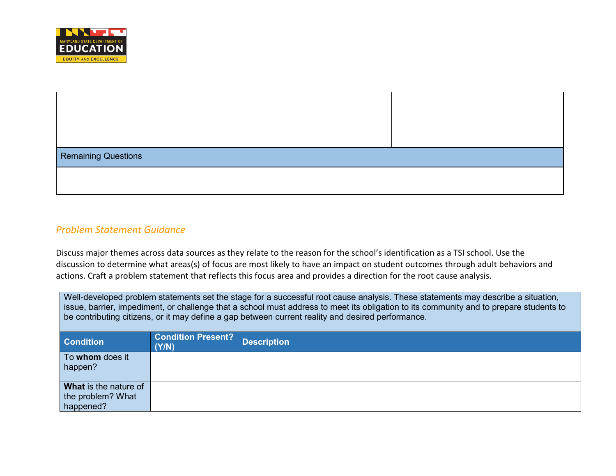

| Remaining Questions |  |
|---------------------|--|
|                     |  |

### *Problem Statement Guidance*

Discuss major themes across data sources as they relate to the reason for the school's identification as a TSI school. Use the discussion to determine what areas(s) of focus are most likely to have an impact on student outcomes through adult behaviors and actions. Craft a problem statement that reflects this focus area and provides a direction for the root cause analysis.

| Well-developed problem statements set the stage for a successful root cause analysis. These statements may describe a situation,<br>issue, barrier, impediment, or challenge that a school must address to meet its obligation to its community and to prepare students to<br>be contributing citizens, or it may define a gap between current reality and desired performance. |                                    |                    |
|---------------------------------------------------------------------------------------------------------------------------------------------------------------------------------------------------------------------------------------------------------------------------------------------------------------------------------------------------------------------------------|------------------------------------|--------------------|
| <b>Condition</b>                                                                                                                                                                                                                                                                                                                                                                | <b>Condition Present?</b><br>(Y/N) | <b>Description</b> |
| To whom does it<br>happen?                                                                                                                                                                                                                                                                                                                                                      |                                    |                    |
| What is the nature of<br>the problem? What<br>happened?                                                                                                                                                                                                                                                                                                                         |                                    |                    |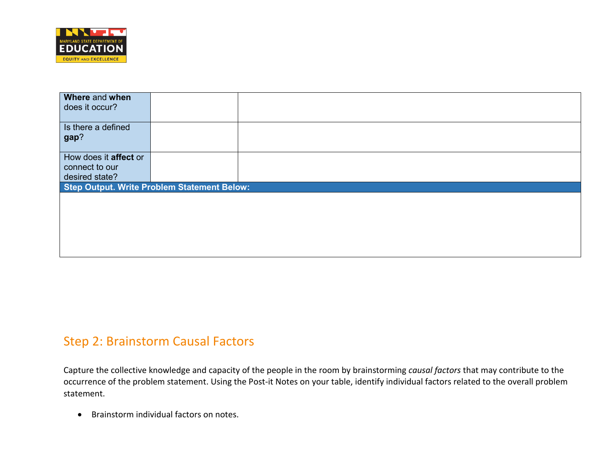

| Where and when                                     |  |
|----------------------------------------------------|--|
| does it occur?                                     |  |
|                                                    |  |
| Is there a defined                                 |  |
| gap?                                               |  |
|                                                    |  |
| How does it <b>affect</b> or                       |  |
| connect to our                                     |  |
| desired state?                                     |  |
| <b>Step Output. Write Problem Statement Below:</b> |  |
|                                                    |  |
|                                                    |  |
|                                                    |  |
|                                                    |  |
|                                                    |  |
|                                                    |  |

## Step 2: Brainstorm Causal Factors

Capture the collective knowledge and capacity of the people in the room by brainstorming *causal factors* that may contribute to the occurrence of the problem statement. Using the Post-it Notes on your table, identify individual factors related to the overall problem statement.

• Brainstorm individual factors on notes.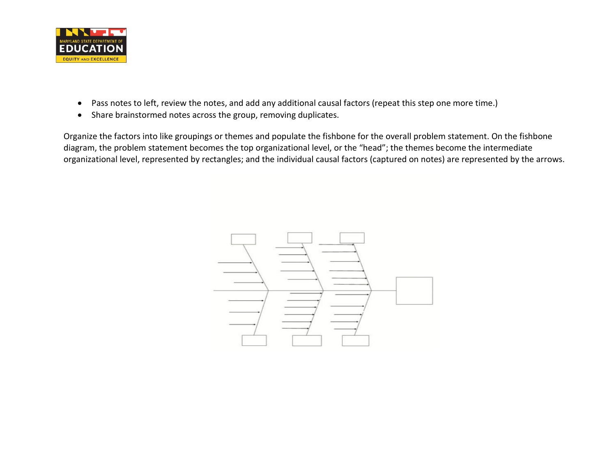

- Pass notes to left, review the notes, and add any additional causal factors (repeat this step one more time.)
- Share brainstormed notes across the group, removing duplicates.

Organize the factors into like groupings or themes and populate the fishbone for the overall problem statement. On the fishbone diagram, the problem statement becomes the top organizational level, or the "head"; the themes become the intermediate organizational level, represented by rectangles; and the individual causal factors (captured on notes) are represented by the arrows.

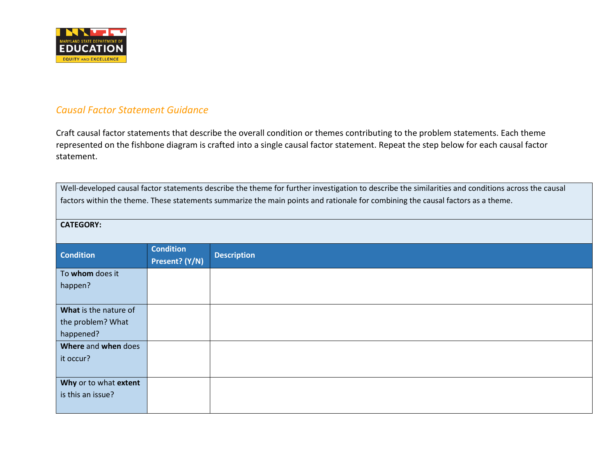

#### *Causal Factor Statement Guidance*

Craft causal factor statements that describe the overall condition or themes contributing to the problem statements. Each theme represented on the fishbone diagram is crafted into a single causal factor statement. Repeat the step below for each causal factor statement.

Well-developed causal factor statements describe the theme for further investigation to describe the similarities and conditions across the causal factors within the theme. These statements summarize the main points and rationale for combining the causal factors as a theme.

| <b>CATEGORY:</b>      |                                    |                    |
|-----------------------|------------------------------------|--------------------|
| <b>Condition</b>      | <b>Condition</b><br>Present? (Y/N) | <b>Description</b> |
| To whom does it       |                                    |                    |
| happen?               |                                    |                    |
|                       |                                    |                    |
| What is the nature of |                                    |                    |
| the problem? What     |                                    |                    |
| happened?             |                                    |                    |
| Where and when does   |                                    |                    |
| it occur?             |                                    |                    |
|                       |                                    |                    |
| Why or to what extent |                                    |                    |
| is this an issue?     |                                    |                    |
|                       |                                    |                    |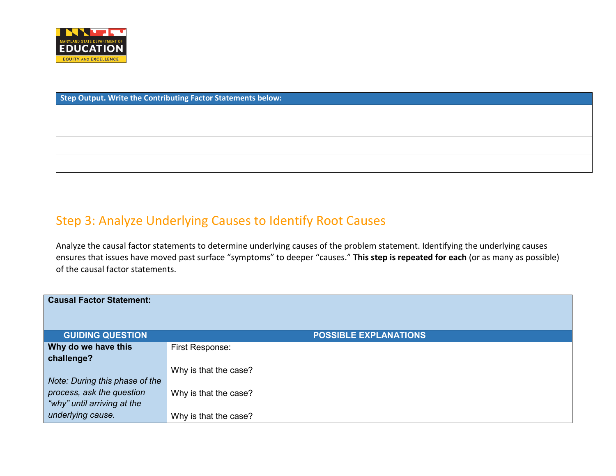

# Step 3: Analyze Underlying Causes to Identify Root Causes

Analyze the causal factor statements to determine underlying causes of the problem statement. Identifying the underlying causes ensures that issues have moved past surface "symptoms" to deeper "causes." **This step is repeated for each** (or as many as possible) of the causal factor statements.

| <b>Causal Factor Statement:</b> |                              |
|---------------------------------|------------------------------|
| <b>GUIDING QUESTION</b>         | <b>POSSIBLE EXPLANATIONS</b> |
| Why do we have this             | First Response:              |
| challenge?                      |                              |
|                                 | Why is that the case?        |
| Note: During this phase of the  |                              |
| process, ask the question       | Why is that the case?        |
| "why" until arriving at the     |                              |
| underlying cause.               | Why is that the case?        |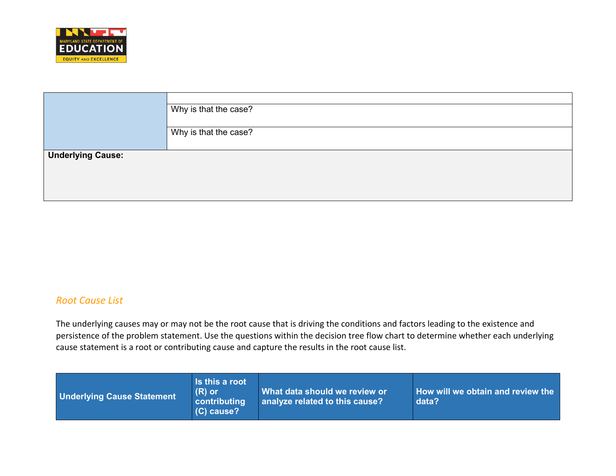

|                          | Why is that the case? |
|--------------------------|-----------------------|
|                          | Why is that the case? |
| <b>Underlying Cause:</b> |                       |
|                          |                       |

#### *Root Cause List*

The underlying causes may or may not be the root cause that is driving the conditions and factors leading to the existence and persistence of the problem statement. Use the questions within the decision tree flow chart to determine whether each underlying cause statement is a root or contributing cause and capture the results in the root cause list.

| <b>Underlying Cause Statement</b> | Is this a root<br>$(R)$ or<br><b>contributing</b><br>(C) cause? | What data should we review or<br>analyze related to this cause? | How will we obtain and review the<br>data? |
|-----------------------------------|-----------------------------------------------------------------|-----------------------------------------------------------------|--------------------------------------------|
|-----------------------------------|-----------------------------------------------------------------|-----------------------------------------------------------------|--------------------------------------------|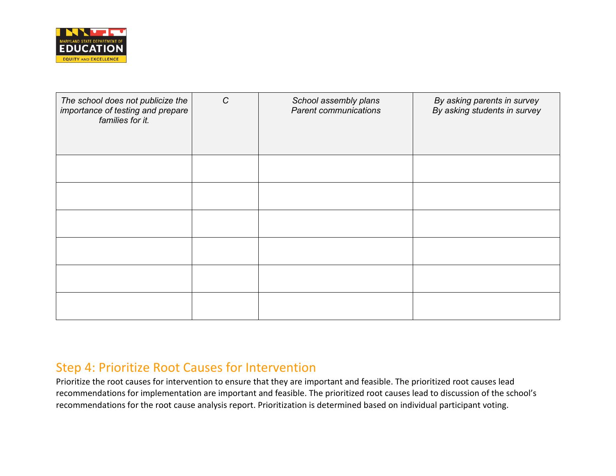

| The school does not publicize the<br>importance of testing and prepare<br>families for it. | $\mathcal{C}$ | School assembly plans<br><b>Parent communications</b> | By asking parents in survey<br>By asking students in survey |
|--------------------------------------------------------------------------------------------|---------------|-------------------------------------------------------|-------------------------------------------------------------|
|                                                                                            |               |                                                       |                                                             |
|                                                                                            |               |                                                       |                                                             |
|                                                                                            |               |                                                       |                                                             |
|                                                                                            |               |                                                       |                                                             |
|                                                                                            |               |                                                       |                                                             |
|                                                                                            |               |                                                       |                                                             |

### Step 4: Prioritize Root Causes for Intervention

Prioritize the root causes for intervention to ensure that they are important and feasible. The prioritized root causes lead recommendations for implementation are important and feasible. The prioritized root causes lead to discussion of the school's recommendations for the root cause analysis report. Prioritization is determined based on individual participant voting.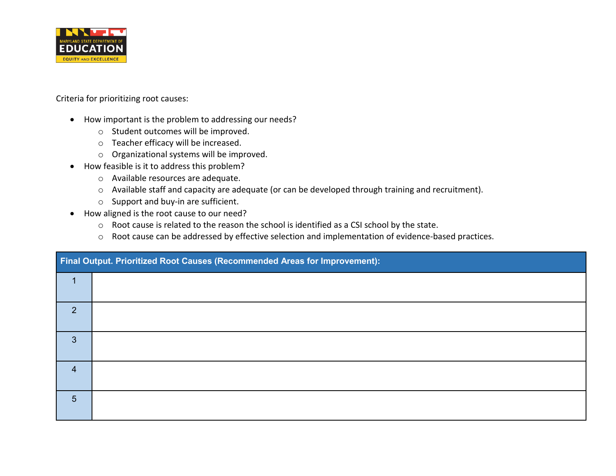

Criteria for prioritizing root causes:

- How important is the problem to addressing our needs?
	- o Student outcomes will be improved.
	- o Teacher efficacy will be increased.
	- o Organizational systems will be improved.
- How feasible is it to address this problem?
	- o Available resources are adequate.
	- o Available staff and capacity are adequate (or can be developed through training and recruitment).
	- o Support and buy-in are sufficient.
- How aligned is the root cause to our need?
	- o Root cause is related to the reason the school is identified as a CSI school by the state.
	- o Root cause can be addressed by effective selection and implementation of evidence-based practices.

|                | Final Output. Prioritized Root Causes (Recommended Areas for Improvement): |
|----------------|----------------------------------------------------------------------------|
|                |                                                                            |
| 2              |                                                                            |
| 3              |                                                                            |
| $\overline{4}$ |                                                                            |
| 5              |                                                                            |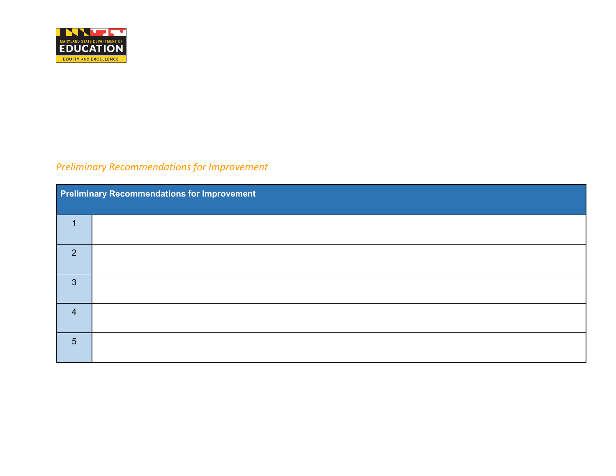

## *Preliminary Recommendations for Improvement*

|                 | Preliminary Recommendations for Improvement |  |  |
|-----------------|---------------------------------------------|--|--|
|                 |                                             |  |  |
| 2               |                                             |  |  |
| $\overline{3}$  |                                             |  |  |
| $\overline{4}$  |                                             |  |  |
| $5\overline{5}$ |                                             |  |  |